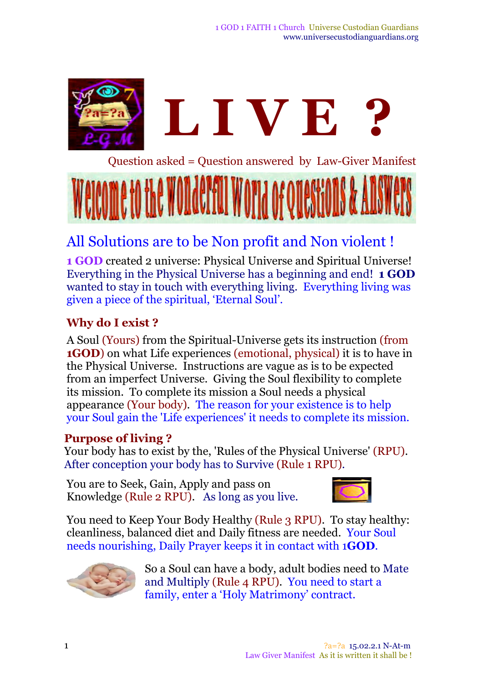

Question asked = Question answered by Law-Giver Manifest



# All Solutions are to be Non profit and Non violent !

**1 GOD** created 2 universe: Physical Universe and Spiritual Universe! Everything in the Physical Universe has a beginning and end! **1 GOD** wanted to stay in touch with everything living. Everything living was given a piece of the spiritual, 'Eternal Soul'.

# **Why do I exist ?**

A Soul (Yours) from the Spiritual*-*Universe gets its instruction (from **1GOD**) on what Life experiences (emotional, physical) it is to have in the Physical Universe. Instructions are vague as is to be expected from an imperfect Universe. Giving the Soul flexibility to complete its mission. To complete its mission a Soul needs a physical appearance (Your body)*.* The reason for your existence is to help your Soul gain the 'Life experiences' it needs to complete its mission.

### **Purpose of living ?**

Your body has to exist by the, 'Rules of the Physical Universe' (RPU). After conception your body has to Survive (Rule 1 RPU)*.*

You are to Seek, Gain, Apply and pass on Knowledge (Rule 2 RPU). As long as you live.



You need to Keep Your Body Healthy (Rule 3 RPU). To stay healthy: cleanliness, balanced diet and Daily fitness are needed. Your Soul needs nourishing, Daily Prayer keeps it in contact with 1**GOD***.*



So a Soul can have a body, adult bodies need to Mate and Multiply (Rule 4 RPU)*.* You need to start a family, enter a 'Holy Matrimony' contract.